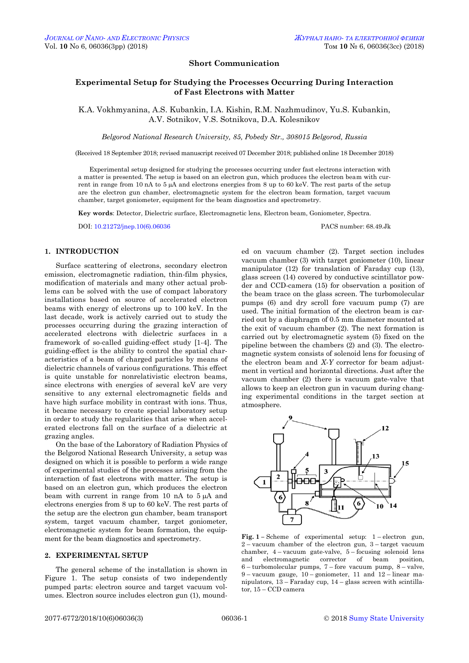## **Short Communication**

# **Experimental Setup for Studying the Processes Occurring During Interaction of Fast Electrons with Matter**

K.A. Vokhmyanina, A.S. Kubankin, I.A. Kishin, R.M. Nazhmudinov, Yu.S. Kubankin, A.V. Sotnikov, V.S. Sotnikova, D.A. Kolesnikov

*Belgorod National Research University, 85, Pobedy Str., 308015 Belgorod, Russia* 

(Received 18 September 2018; revised manuscript received 07 December 2018; published online 18 December 2018)

Experimental setup designed for studying the processes occurring under fast electrons interaction with a matter is presented. The setup is based on an electron gun, which produces the electron beam with current in range from 10 nA to 5  $\mu$ A and electrons energies from 8 up to 60 keV. The rest parts of the setup are the electron gun chamber, electromagnetic system for the electron beam formation, target vacuum chamber, target goniometer, equipment for the beam diagnostics and spectrometry.

**Key words**: Detector, Dielectric surface, Electromagnetic lens, Electron beam, Goniometer, Spectra.

DOI[: 10.21272/jnep.10\(6\).06036](https://doi.org/10.21272/jnep.10(6).06036) PACS number: 68.49.Jk

## **1. INTRODUCTION**

Surface scattering of electrons, secondary electron emission, electromagnetic radiation, thin-film physics, modification of materials and many other actual problems can be solved with the use of compact laboratory installations based on source of accelerated electron beams with energy of electrons up to 100 keV. In the last decade, work is actively carried out to study the processes occurring during the grazing interaction of accelerated electrons with dielectric surfaces in a framework of so-called guiding-effect study [1-4]. The guiding-effect is the ability to control the spatial characteristics of a beam of charged particles by means of dielectric channels of various configurations. This effect is quite unstable for nonrelativistic electron beams, since electrons with energies of several keV are very sensitive to any external electromagnetic fields and have high surface mobility in contrast with ions. Thus, it became necessary to create special laboratory setup in order to study the regularities that arise when accelerated electrons fall on the surface of a dielectric at grazing angles.

On the base of the Laboratory of Radiation Physics of the Belgorod National Research University, a setup was designed on which it is possible to perform a wide range of experimental studies of the processes arising from the interaction of fast electrons with matter. The setup is based on an electron gun, which produces the electron beam with current in range from 10 nA to  $5 \mu A$  and electrons energies from 8 up to 60 keV. The rest parts of the setup are the electron gun chamber, beam transport system, target vacuum chamber, target goniometer, electromagnetic system for beam formation, the equipment for the beam diagnostics and spectrometry.

# **2. EXPERIMENTAL SETUP**

<span id="page-0-3"></span><span id="page-0-2"></span><span id="page-0-1"></span><span id="page-0-0"></span>The general scheme of the installation is shown in Figure 1. The setup consists of two independently pumped parts: electron source and target vacuum volumes. Electron source includes electron gun (1), mounded on vacuum chamber (2). Target section includes vacuum chamber (3) with target goniometer (10), linear manipulator (12) for translation of Faraday cup (13), glass screen (14) covered by conductive scintillator powder and CCD-camera (15) for observation a position of the beam trace on the glass screen. The turbomolecular pumps (6) and dry scroll fore vacuum pump (7) are used. The initial formation of the electron beam is carried out by a diaphragm of 0.5 mm diameter mounted at the exit of vacuum chamber (2). The next formation is carried out by electromagnetic system (5) fixed on the pipeline between the chambers (2) and (3). The electromagnetic system consists of solenoid lens for focusing of the electron beam and *X-Y* corrector for beam adjustment in vertical and horizontal directions. Just after the vacuum chamber (2) there is vacuum gate-valve that allows to keep an electron gun in vacuum during changing experimental conditions in the target section at atmosphere.



**Fig. 1 –** Scheme of experimental setup: 1 – electron gun,  $2 - vacuum$  chamber of the electron gun,  $3 - target$  vacuum chamber, 4 – vacuum gate-valve, 5 – focusing solenoid lens and electromagnetic corrector of beam position, 6 – turbomolecular pumps, 7 – fore vacuum pump, 8 – valve, 9 – vacuum gauge,  $10$  – goniometer, 11 and  $12$  – linear manipulators, 13 – Faraday cup, 14 – glass screen with scintillator, 15 – CCD camera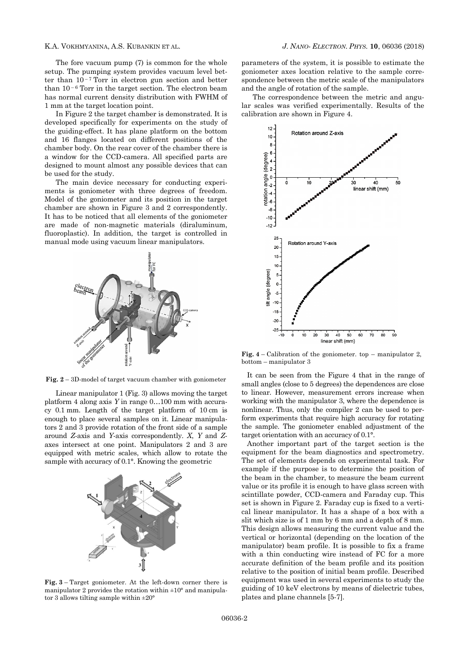The fore vacuum pump (7) is common for the whole setup. The pumping system provides vacuum level better than  $10^{-7}$  Torr in electron gun section and better than  $10<sup>-6</sup>$  Torr in the target section. The electron beam has normal current density distribution with FWHM of 1 mm at the target location point.

In Figure 2 the target chamber is demonstrated. It is developed specifically for experiments on the study of the guiding-effect. It has plane platform on the bottom and 16 flanges located on different positions of the chamber body. On the rear cover of the chamber there is a window for the CCD-camera. All specified parts are designed to mount almost any possible devices that can be used for the study.

The main device necessary for conducting experiments is goniometer with three degrees of freedom. Model of the goniometer and its position in the target chamber are shown in Figure 3 and 2 correspondently. It has to be noticed that all elements of the goniometer are made of non-magnetic materials (diraluminum, fluoroplastic). In addition, the target is controlled in manual mode using vacuum linear manipulators.



**Fig. 2** – 3D-model of target vacuum chamber with goniometer

Linear manipulator 1 (Fig. 3) allows moving the target platform 4 along axis *Y* in range 0…100 mm with accuracy 0.1 mm. Length of the target platform of 10 cm is enough to place several samples on it. Linear manipulators 2 and 3 provide rotation of the front side of a sample around *Z*-axis and *Y*-axis correspondently. *X*, *Y* and *Z*axes intersect at one point. Manipulators 2 and 3 are equipped with metric scales, which allow to rotate the sample with accuracy of 0.1°. Knowing the geometric



**Fig. 3** – Target goniometer. At the left-down corner there is manipulator 2 provides the rotation within  $\pm 10^{\circ}$  and manipulator 3 allows tilting sample within  $\pm 20^{\circ}$ 

parameters of the system, it is possible to estimate the goniometer axes location relative to the sample correspondence between the metric scale of the manipulators and the angle of rotation of the sample.

The correspondence between the metric and angular scales was verified experimentally. Results of the calibration are shown in Figure 4.



**Fig. 4** – Calibration of the goniometer. top – manipulator 2, bottom – manipulator 3

It can be seen from the Figure 4 that in the range of small angles (close to 5 degrees) the dependences are close to linear. However, measurement errors increase when working with the manipulator 3, where the dependence is nonlinear. Thus, only the compiler 2 can be used to perform experiments that require high accuracy for rotating the sample. The goniometer enabled adjustment of the target orientation with an accuracy of 0.1°.

Another important part of the target section is the equipment for the beam diagnostics and spectrometry. The set of elements depends on experimental task. For example if the purpose is to determine the position of the beam in the chamber, to measure the beam current value or its profile it is enough to have glass screen with scintillate powder, CCD-camera and Faraday cup. This set is shown in Figure 2. Faraday cup is fixed to a vertical linear manipulator. It has a shape of a box with a slit which size is of 1 mm by 6 mm and a depth of 8 mm. This design allows measuring the current value and the vertical or horizontal (depending on the location of the manipulator) beam profile. It is possible to fix a frame with a thin conducting wire instead of FC for a more accurate definition of the beam profile and its position relative to the position of initial beam profile. Described equipment was used in several experiments to study the guiding of 10 keV electrons by means of dielectric tubes, plates and plane channels [5-7].